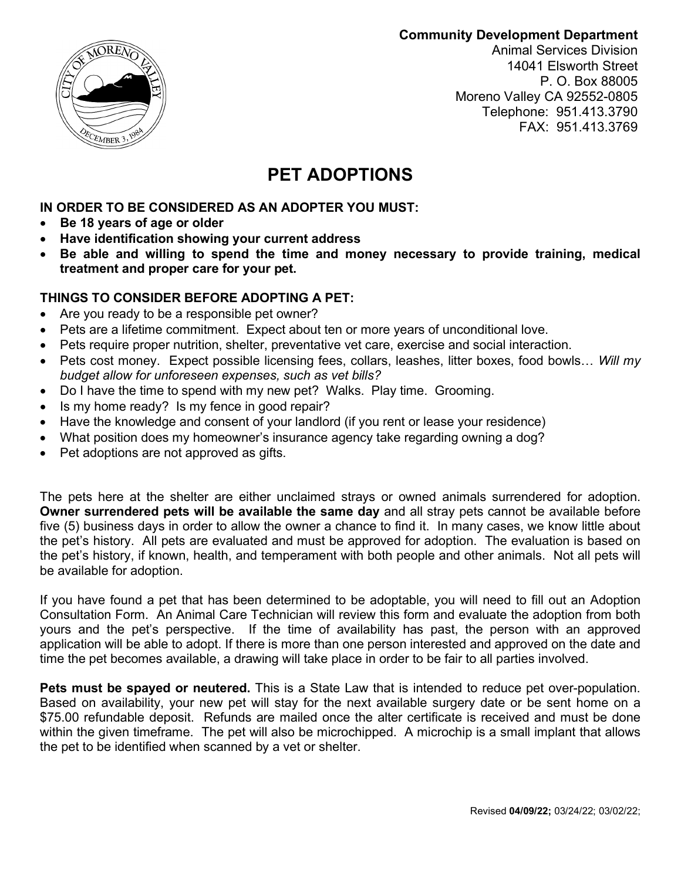**Community Development Department**



Animal Services Division 14041 Elsworth Street P. O. Box 88005 Moreno Valley CA 92552-0805 Telephone: 951.413.3790 FAX: 951.413.3769

# **PET ADOPTIONS**

**IN ORDER TO BE CONSIDERED AS AN ADOPTER YOU MUST:**

- **Be 18 years of age or older**
- **Have identification showing your current address**
- **Be able and willing to spend the time and money necessary to provide training, medical treatment and proper care for your pet.**

## **THINGS TO CONSIDER BEFORE ADOPTING A PET:**

- Are you ready to be a responsible pet owner?
- Pets are a lifetime commitment. Expect about ten or more years of unconditional love.
- Pets require proper nutrition, shelter, preventative vet care, exercise and social interaction.
- Pets cost money. Expect possible licensing fees, collars, leashes, litter boxes, food bowls… *Will my budget allow for unforeseen expenses, such as vet bills?*
- Do I have the time to spend with my new pet? Walks. Play time. Grooming.
- Is my home ready? Is my fence in good repair?
- Have the knowledge and consent of your landlord (if you rent or lease your residence)
- What position does my homeowner's insurance agency take regarding owning a dog?
- Pet adoptions are not approved as gifts.

The pets here at the shelter are either unclaimed strays or owned animals surrendered for adoption. **Owner surrendered pets will be available the same day** and all stray pets cannot be available before five (5) business days in order to allow the owner a chance to find it. In many cases, we know little about the pet's history. All pets are evaluated and must be approved for adoption. The evaluation is based on the pet's history, if known, health, and temperament with both people and other animals. Not all pets will be available for adoption.

If you have found a pet that has been determined to be adoptable, you will need to fill out an Adoption Consultation Form. An Animal Care Technician will review this form and evaluate the adoption from both yours and the pet's perspective. If the time of availability has past, the person with an approved application will be able to adopt. If there is more than one person interested and approved on the date and time the pet becomes available, a drawing will take place in order to be fair to all parties involved.

**Pets must be spayed or neutered.** This is a State Law that is intended to reduce pet over-population. Based on availability, your new pet will stay for the next available surgery date or be sent home on a \$75.00 refundable deposit. Refunds are mailed once the alter certificate is received and must be done within the given timeframe. The pet will also be microchipped. A microchip is a small implant that allows the pet to be identified when scanned by a vet or shelter.